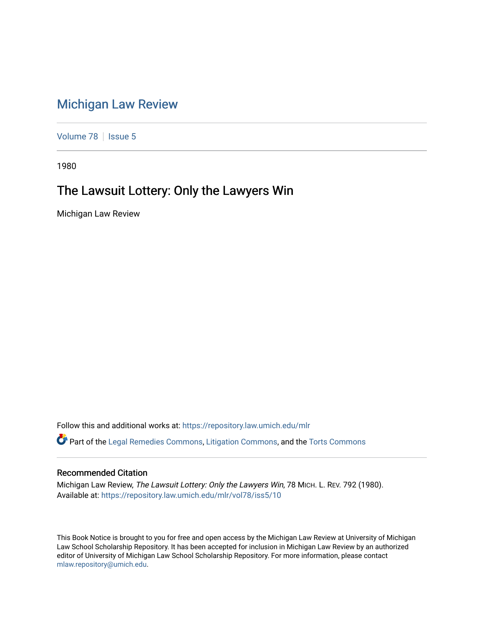## [Michigan Law Review](https://repository.law.umich.edu/mlr)

[Volume 78](https://repository.law.umich.edu/mlr/vol78) | [Issue 5](https://repository.law.umich.edu/mlr/vol78/iss5)

1980

## The Lawsuit Lottery: Only the Lawyers Win

Michigan Law Review

Follow this and additional works at: [https://repository.law.umich.edu/mlr](https://repository.law.umich.edu/mlr?utm_source=repository.law.umich.edu%2Fmlr%2Fvol78%2Fiss5%2F10&utm_medium=PDF&utm_campaign=PDFCoverPages) 

Part of the [Legal Remedies Commons,](http://network.bepress.com/hgg/discipline/618?utm_source=repository.law.umich.edu%2Fmlr%2Fvol78%2Fiss5%2F10&utm_medium=PDF&utm_campaign=PDFCoverPages) [Litigation Commons,](http://network.bepress.com/hgg/discipline/910?utm_source=repository.law.umich.edu%2Fmlr%2Fvol78%2Fiss5%2F10&utm_medium=PDF&utm_campaign=PDFCoverPages) and the [Torts Commons](http://network.bepress.com/hgg/discipline/913?utm_source=repository.law.umich.edu%2Fmlr%2Fvol78%2Fiss5%2F10&utm_medium=PDF&utm_campaign=PDFCoverPages) 

## Recommended Citation

Michigan Law Review, The Lawsuit Lottery: Only the Lawyers Win, 78 MICH. L. REV. 792 (1980). Available at: [https://repository.law.umich.edu/mlr/vol78/iss5/10](https://repository.law.umich.edu/mlr/vol78/iss5/10?utm_source=repository.law.umich.edu%2Fmlr%2Fvol78%2Fiss5%2F10&utm_medium=PDF&utm_campaign=PDFCoverPages) 

This Book Notice is brought to you for free and open access by the Michigan Law Review at University of Michigan Law School Scholarship Repository. It has been accepted for inclusion in Michigan Law Review by an authorized editor of University of Michigan Law School Scholarship Repository. For more information, please contact [mlaw.repository@umich.edu.](mailto:mlaw.repository@umich.edu)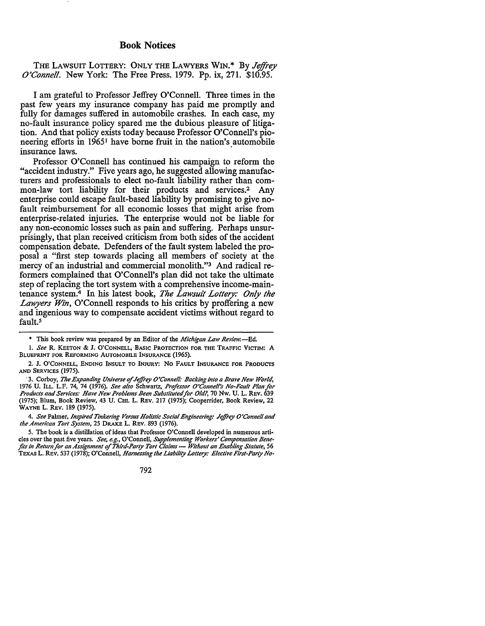## **Book Notices**

THE LAWSUIT LOTTERY: ONLY THE LAWYERS WIN.\* By *Jeffrey O'Connell.* New York: The Free Press. 1979. Pp. ix, 271. \$10.95.

I am grateful to Professor Jeffrey O'Connell. Three times in the past few years my insurance company has paid me promptly and fully for damages suffered in automobile crashes. In each case, my no-fault insurance policy spared me the dubious pleasure of litigation. And that policy exists today because Professor O'Connell's pioneering efforts in 19651 have borne fruit in the nation's automobile insurance laws.

Professor O'Connell has continued his campaign to reform the "accident industry." Five years ago, he suggested allowing manufacturers and professionals to elect no-fault liability rather than common-law tort liability for their products and services.2 Any enterprise could escape fault-based liability by promising to give nofault reimbursement for all economic losses that might arise from enterprise-related injuries. The enterprise would not be liable for any non-economic losses such as pain and suffering. Perhaps unsurprisingly, that plan received criticism from both sides of the accident compensation debate. Defenders of the fault system labeled the proposal a "first step towards placing all members of society at the mercy of an industrial and commercial monolith."3 And radical reformers complained that O'Connell's plan did not take the ultimate step of replacing the tort system with a comprehensive income-maintenance system.4 In his latest book, *The Lawsuit Lottery: Only the Lawyers Win,* O'Connell responds to his critics by proffering a new and ingenious way to compensate accident victims without regard to fault.<sup>5</sup>

4. *See* Palmer, *Inspired Tinkering Versus Holistic Social Engineering: Jeffrey O'Connell and the American Tori System,* 25 DRAKE L. REV. 893 (1976).

*5.* The book is a distillation of ideas that Professor O'Connell developed in numerous articles over the past five years. *See, e.g.,* O'Connell, *Supplementing Workers' Compensation Bene-fits in Return for an Assignment* of *Third-Par/)' Tori Claims* - *Without an Enabling Slalule,* 56 TEXAS L. REV. 537 (1978); O'Connell, *Harnessing the Liability Lottery: Elective First-Party No-*

792

<sup>•</sup> This book review was prepared by an Editor of the *Michigan Law Review.-Ed.* 

<sup>1.</sup> *See* R. KEETON & J. O'CONNELL, BASIC PROTECTION FOR THE TRAFFIC VICTIM: A BLUEPRINT FOR REFORMING AUTOMOBILE INSURANCE (1965).

<sup>2.</sup> J. O'CONNELL, ENDING INSULT TO INJURY: No FAULT INSURANCE FOR PRODUCTS AND SERVICES (1975).

<sup>· 3.</sup> Corboy, *The Expanding Universe* of *Jeffrey O'Connell· Backing into a Brave New World,*  1976 U. ILL L.F. 74, 74 (1976). *See also* Schwartz, *Professor O'Connell's No-Faull Plan for Products and Services: Have New Problems Been Subsliluled for Old?,* 70 Nw. U. L. REV. 639 (1975); Blum, Book Review, 43 U. CHI. L. REv. 217 (1975); Cooperrider, Book Review, 22 WAYNE L. REV. 189 (1975).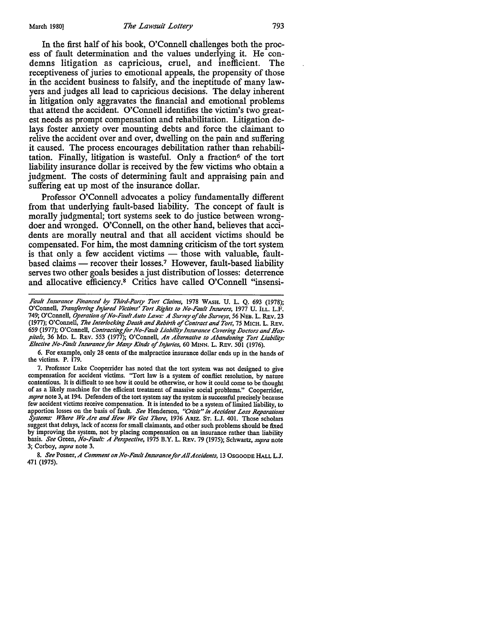In the first half of his book, O'Connell challenges both the process of fault determination and the values underlying it. He condemns litigation as capricious, cruel, and inefficient. The receptiveness of juries to emotional appeals, the propensity of those in the accident business to falsify, and the ineptitude of many lawyers and judges all lead to capricious decisions. The delay inherent in litigation only aggravates the financial and emotional problems that attend the accident. O'Connell identifies the victim's two greatest needs as prompt compensation and rehabilitation. Litigation delays foster anxiety over mounting debts and force the claimant to relive the accident over and over, dwelling on the pain and suffering it caused. The process encourages debilitation rather than rehabilitation. Finally, litigation is wasteful. Only a fraction<sup>6</sup> of the tort liability insurance dollar is received by the few victims who obtain a judgment. The costs of determining fault and appraising pain and suffering eat up most of the insurance dollar.

Professor O'Connell advocates a policy fundamentally different from that underlying fault-based liability. The concept of fault is morally judgmental; tort systems seek to do justice between wrongdoer and wronged. O'Connell, on the other hand, believes that accidents are morally neutral and that all accident victims should be compensated. For him, the most damning criticism of the tort system is that only a few accident victims - those with valuable, faultbased claims - recover their losses.<sup>7</sup> However, fault-based liability serves two other goals besides a just distribution of losses: deterrence and allocative efficiency.<sup>8</sup> Critics have called O'Connell "insensi-

6. For example, only 28 cents of the malpractice insurance dollar ends up in the hands of the victims. P. 179.

7. Professor Luke Cooperrider has noted that the tort system was not designed to give compensation for accident victims. "Tort law is a system of conflict resolution, by nature contentious. It is difficult to see how it could be otherwise, or how it could come to be thought of as a likely machine for the efficient treatment of massive social problems." Cooperrider, *supra* note 3, at 194. Defenders of the tort system say the system is successful precisely because few accident victims receive compensation. It is intended to be a system of limited liability, to apportion losses on the basis of fault. *See* Henderson, *"Crisis" in Accident Lass Reparations Systems: Where We Are and How We Got There,* 1976 ARIZ. ST. L.J. 401. Those scholars suggest that delays, lack of access for small claimants, and other such problems should be fixed by improving the system, not by placing compensation on an insurance rather than liability basis. *See* Green, *No-Fault: A Perspective,* 1975 B.Y. L. REV. 79 (1975); Schwartz, *supra* note 3; Corboy, *supra* note 3.

*Fault Insurance Financed by Third-Party Tort Claims,* 1978 WASH. U. L. Q. 693 (1978); O'Connell, *Traneferring Injured Victims' Tort Rights to No-Fault Insurers,* 1977 U. ILL. L.F. 749; O'Connell, *Operation* of *No-Fault Auto Laws: A Survey* of *the Surveys,* 56 NEB. L. REv. 23 (1977); O'Connell, *The Interlocking Death and Rebirth of Contract and Tort*, 75 MICH. L. REV. 659 (1977); O'Connell, *Contracting for No-Fault Liability Insurance Covering Doctors and Hospitals,* 36 Mo. L. REV. 553 (1977); O'Connell, *An Alternative to Abandoning Tori Liability: Elective No-Fault Insurance far Many Kinds* of *Injuries,* 60 MINN. L. REV. 501 (1976).

<sup>8.</sup> *See* Posner, *A Comment on No-Fault Insurance for All Accidents*, 13 Osgoope HALL L.J. 471 (1975).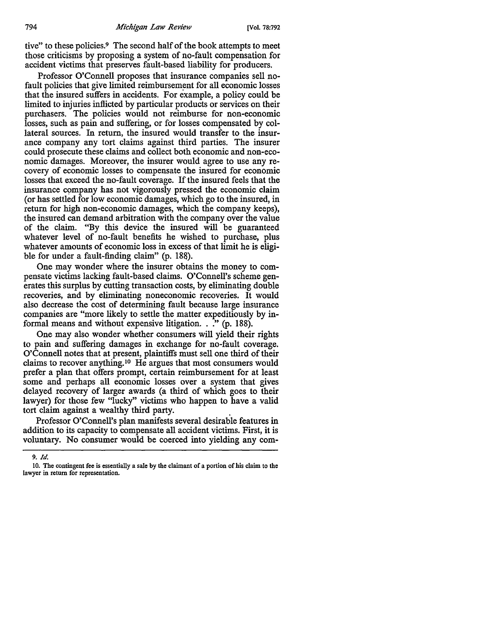tive" to these policies.9 The second half of the book attempts to meet those criticisms by proposing a system of no-fault compensation for accident victims that preserves fault-based liability for producers.

Professor O'Connell proposes that insurance companies sell nofault policies that give limited reimbursement for all economic losses that the insured suffers in accidents. For example, a policy could be limited to injuries inflicted by particular products or services on their purchasers. The policies would not reimburse for non-economic losses, such as pain and suffering, or for losses compensated by collateral sources. In return, the insured would transfer to the insurance company any tort claims against third parties. The insurer could prosecute these claims and collect both economic and non-economic damages. Moreover, the insurer would agree to use any recovery of economic losses to compensate the insured for economic losses that exceed the no-fault coverage. If the insured feels that the insurance company has not vigorously pressed the economic claim ( or has settled for low economic damages, which go to the insured, in return for high non-economic damages, which the company keeps), the insured can demand arbitration with the company over the value of the claim. "By this device the insured will be guaranteed whatever level of no-fault benefits he wished to purchase, plus whatever amounts of economic loss in excess of that limit he is eligible for under a fault-finding claim" (p. 188).

One may wonder where the insurer obtains the money to compensate victims lacking fault-based claims. O'Connell's scheme generates this surplus by cutting transaction costs, by eliminating double recoveries, and by eliminating noneconomic recoveries. It would also decrease the cost of determining fault because large insurance companies are "more likely to settle the matter expeditiously by informal means and without expensive litigation. . ." (p. 188).

One may also wonder whether consumers will yield their rights to pain and suffering damages in exchange for no-fault coverage. O'Connell notes that at present, plaintiffs must sell one third of their claims to recover anything.<sup>10</sup> He argues that most consumers would prefer a plan that offers prompt, certain reimbursement for at least some and perhaps all economic losses over a system that gives delayed recovery of larger awards (a third of which goes to their lawyer) for those few "lucky" victims who happen to have a valid tort claim against a wealthy third party. .

Professor O'Connell's plan manifests several desirable features in addition to its capacity to compensate all accident victims. First, it is voluntary. No consumer would be coerced into yielding any com-

<sup>9.</sup> *Id.* 

IO. The contingent fee is essentially a sale by the claimant of a portion of his claim to the lawyer in return for representation.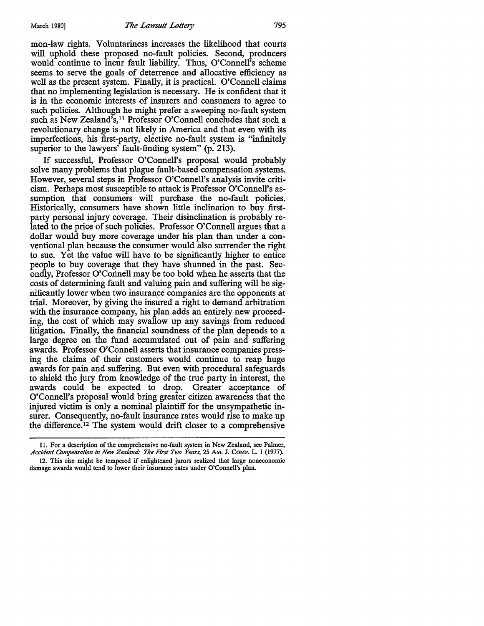mon-law rights. Voluntariness increases the likelihood that courts will uphold these proposed no-fault policies. Second, producers would continue to incur fault liability. Thus, O'Connell's scheme seems to serve the goals of deterrence and allocative efficiency as well as the present system. Finally, it is practical. O'Connell claims that no implementing legislation is necessary. He is confident that it is in the economic interests of insurers and consumers to agree to such policies. Although he might prefer a sweeping no-fault system such as New Zealand's,<sup>11</sup> Professor O'Connell concludes that such a revolutionary change is not likely in America and that even with its imperfections, his first-party, elective no-fault system is "infinitely superior to the lawyers' fault-finding system" (p. 213).

If successful, Professor O'Connell's proposal would probably solve many problems that plague fault-based compensation systems. However, several steps in Professor O'Connell's analysis invite criticism. Perhaps most susceptible to attack is Professor O'Connell's assumption that consumers will purchase the no-fault policies. Historically, consumers have shown little inclination to buy firstparty personal injury coverage. Their disinclination is probably related to the price of such policies. Professor O'Connell argues that a dollar would buy more coverage under his plan than under a conventional plan because the consumer would also surrender the right to sue. Yet the value will have to be significantly higher to entice people to buy coverage that they have shunned in the past. Secondly, Professor O'Connell may be too bold when he asserts that the costs of determining fault and valuing pain and suffering will be significantly lower when two insurance companies are the opponents at trial. Moreover, by giving the insured a right to demand arbitration with the insurance company, his plan adds an entirely new proceeding, the cost of which may swallow up any savings from reduced litigation. Finally, the financial soundness of the plan depends to a large degree on the fund accumulated out of pain and suffering awards. Professor O'Connell asserts that insurance companies pressing the claims of their customers would continue to reap huge awards for pain and suffering. But even with procedural safeguards to shield the jury from knowledge of the true party in interest, the awards could be expected to drop. Greater acceptance of O'Connell's proposal would bring greater citizen awareness that the injured victim is only a nominal plaintiff for the unsympathetic insurer. Consequently, no-fault insurance rates would rise to make up the difference.<sup>12</sup> The system would drift closer to a comprehensive

<sup>11.</sup> For a description of the comprehensive no-fault system in New Zealand, see Palmer, *Accident Compensation in New Zealand: The First Two Years,* 25 AM. J. COMP. L. I (1977).

<sup>12.</sup> This rise might be tempered if enlightened jurors realized that large noneconomic damage awards would tend to lower their insurance rates under O'Connell's plan.